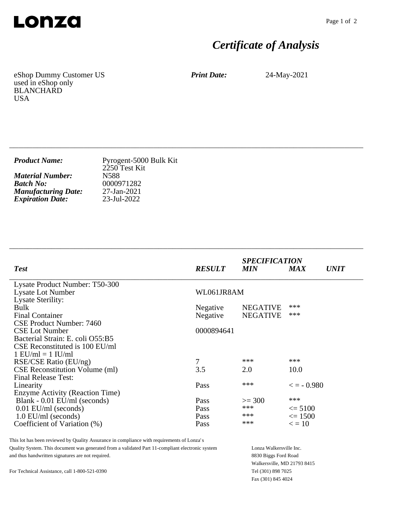

## *Certificate of Analysis*

eShop Dummy Customer US used in eShop only BLANCHARD USA

*Print Date:* 24-May-2021

| <b>Product Name:</b>       | Pyrogent-5000 Bulk Kit<br>2250 Test Kit |
|----------------------------|-----------------------------------------|
| <b>Material Number:</b>    | N588                                    |
| <b>Batch No:</b>           | 0000971282                              |
| <b>Manufacturing Date:</b> | $27$ -Jan-2021                          |
| <b>Expiration Date:</b>    | 23-Jul-2022                             |

\_\_\_\_\_\_\_\_\_\_\_\_\_\_\_\_\_\_\_\_\_\_\_\_\_\_\_\_\_\_\_\_\_\_\_\_\_\_\_\_\_\_\_\_\_\_\_\_\_\_\_\_\_\_\_\_\_\_\_\_\_\_\_\_\_\_\_\_\_\_\_\_\_\_\_\_

\_\_\_\_\_\_\_\_\_\_\_\_\_\_\_\_\_\_\_\_\_\_\_\_\_\_\_\_\_\_\_\_\_\_\_\_\_\_\_\_\_\_\_\_\_\_\_\_\_\_\_\_\_\_\_\_\_\_\_\_\_\_\_\_\_\_\_\_\_\_\_\_\_\_\_\_

| <b>Test</b>                           | <b>RESULT</b> | <b>SPECIFICATION</b><br><b>MIN</b> | <b>MAX</b>          | <i><b>UNIT</b></i> |
|---------------------------------------|---------------|------------------------------------|---------------------|--------------------|
| Lysate Product Number: T50-300        |               |                                    |                     |                    |
| <b>Lysate Lot Number</b>              | WL061JR8AM    |                                    |                     |                    |
| Lysate Sterility:                     |               |                                    |                     |                    |
| Bulk                                  | Negative      | <b>NEGATIVE</b>                    | ***                 |                    |
| <b>Final Container</b>                | Negative      | <b>NEGATIVE</b>                    | ***                 |                    |
| CSE Product Number: 7460              |               |                                    |                     |                    |
| <b>CSE Lot Number</b>                 | 0000894641    |                                    |                     |                    |
| Bacterial Strain: E. coli O55:B5      |               |                                    |                     |                    |
| CSE Reconstituted is 100 EU/ml        |               |                                    |                     |                    |
| $1$ EU/ml = $1$ IU/ml                 |               |                                    |                     |                    |
| RSE/CSE Ratio (EU/ng)                 | 7             | ***                                | ***                 |                    |
| <b>CSE Reconstitution Volume (ml)</b> | 3.5           | 2.0                                | 10.0                |                    |
| <b>Final Release Test:</b>            |               |                                    |                     |                    |
| Linearity                             | Pass          | ***                                | $\epsilon = -0.980$ |                    |
| Enzyme Activity (Reaction Time)       |               |                                    |                     |                    |
| Blank - 0.01 EU/ml (seconds)          | Pass          | $>=$ 300                           | ***                 |                    |
| $0.01$ EU/ml (seconds)                | Pass          | $***$                              | $\leq$ 5100         |                    |
| $1.0$ EU/ml (seconds)                 | Pass          | ***                                | $\leq$ 1500         |                    |
| Coefficient of Variation (%)          | Pass          | ***                                | $\epsilon = 10$     |                    |

This lot has been reviewed by Quality Assurance in compliance with requirements of Lonza's Quality System. This document was generated from a validated Part 11-compliant electronic system and thus handwritten signatures are not required.

For Technical Assistance, call 1-800-521-0390

Lonza Walkersville Inc. 8830 Biggs Ford Road Walkersville, MD 21793 8415 Tel (301) 898 7025 Fax (301) 845 4024